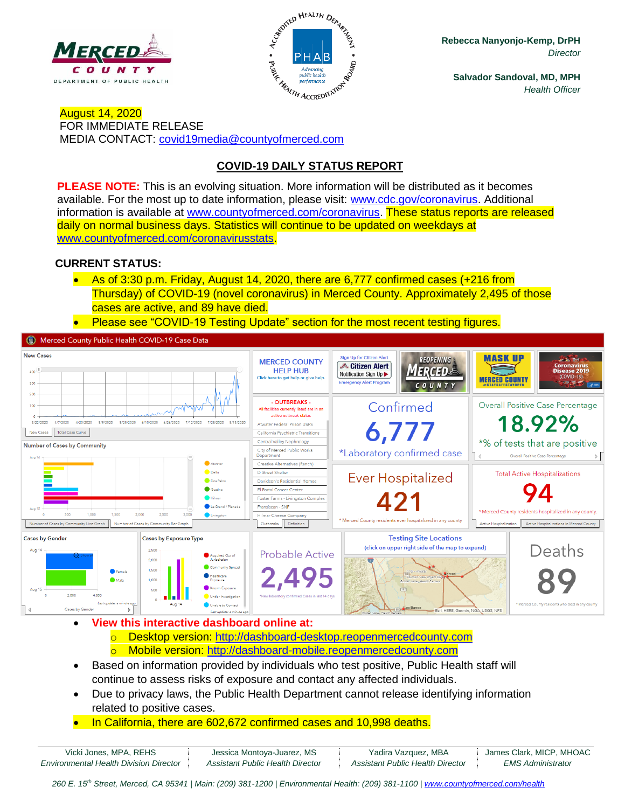



**Rebecca Nanyonjo-Kemp, DrPH** *Director*

**Salvador Sandoval, MD, MPH** *Health Officer*

August 14, 2020 FOR IMMEDIATE RELEASE MEDIA CONTACT: [covid19media@countyofmerced.com](mailto:covid19media@countyofmerced.com)

# **COVID-19 DAILY STATUS REPORT**

**PLEASE NOTE:** This is an evolving situation. More information will be distributed as it becomes available. For the most up to date information, please visit: [www.cdc.gov/coronavirus.](http://www.cdc.gov/coronavirus) Additional information is available at [www.countyofmerced.com/coronavirus.](http://www.countyofmerced.com/coronavirus) These status reports are released daily on normal business days. Statistics will continue to be updated on weekdays at [www.countyofmerced.com/coronavirusstats.](http://www.countyofmerced.com/coronavirusstats)

# **CURRENT STATUS:**

- As of 3:30 p.m. Friday, August 14, 2020, there are 6,777 confirmed cases (+216 from Thursday) of COVID-19 (novel coronavirus) in Merced County. Approximately 2,495 of those cases are active, and 89 have died.
- Please see "COVID-19 Testing Update" section for the most recent testing figures.

Merced County Public Health COVID-19 Case Data



- **View this interactive dashboard online at:**
	- o Desktop version: [http://dashboard-desktop.reopenmercedcounty.com](http://dashboard-desktop.reopenmercedcounty.com/) o Mobile version: [http://dashboard-mobile.reopenmercedcounty.com](http://dashboard-mobile.reopenmercedcounty.com/)
- Based on information provided by individuals who test positive, Public Health staff will continue to assess risks of exposure and contact any affected individuals.
- Due to privacy laws, the Public Health Department cannot release identifying information related to positive cases.
- In California, there are 602,672 confirmed cases and 10,998 deaths.

| Vicki Jones, MPA, REHS                        | Jessica Montova-Juarez, MS       | Yadira Vazquez, MBA              | James Clark, MICP, MHOAC |
|-----------------------------------------------|----------------------------------|----------------------------------|--------------------------|
| <b>Environmental Health Division Director</b> | Assistant Public Health Director | Assistant Public Health Director | <i>EMS Administrator</i> |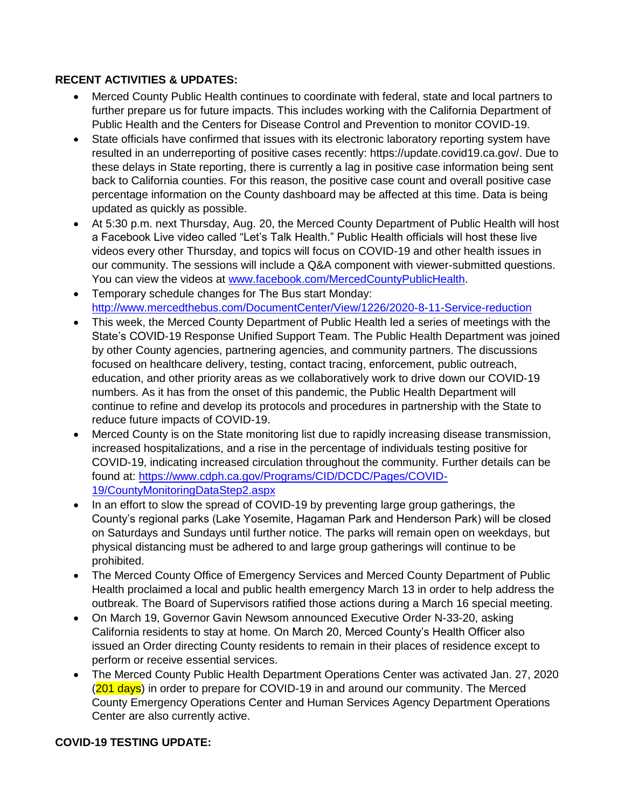# **RECENT ACTIVITIES & UPDATES:**

- Merced County Public Health continues to coordinate with federal, state and local partners to further prepare us for future impacts. This includes working with the California Department of Public Health and the Centers for Disease Control and Prevention to monitor COVID-19.
- State officials have confirmed that issues with its electronic laboratory reporting system have resulted in an underreporting of positive cases recently: https://update.covid19.ca.gov/. Due to these delays in State reporting, there is currently a lag in positive case information being sent back to California counties. For this reason, the positive case count and overall positive case percentage information on the County dashboard may be affected at this time. Data is being updated as quickly as possible.
- At 5:30 p.m. next Thursday, Aug. 20, the Merced County Department of Public Health will host a Facebook Live video called "Let's Talk Health." Public Health officials will host these live videos every other Thursday, and topics will focus on COVID-19 and other health issues in our community. The sessions will include a Q&A component with viewer-submitted questions. You can view the videos at [www.facebook.com/MercedCountyPublicHealth.](http://www.facebook.com/MercedCountyPublicHealth)
- Temporary schedule changes for The Bus start Monday: <http://www.mercedthebus.com/DocumentCenter/View/1226/2020-8-11-Service-reduction>
- This week, the Merced County Department of Public Health led a series of meetings with the State's COVID-19 Response Unified Support Team. The Public Health Department was joined by other County agencies, partnering agencies, and community partners. The discussions focused on healthcare delivery, testing, contact tracing, enforcement, public outreach, education, and other priority areas as we collaboratively work to drive down our COVID-19 numbers. As it has from the onset of this pandemic, the Public Health Department will continue to refine and develop its protocols and procedures in partnership with the State to reduce future impacts of COVID-19.
- Merced County is on the State monitoring list due to rapidly increasing disease transmission, increased hospitalizations, and a rise in the percentage of individuals testing positive for COVID-19, indicating increased circulation throughout the community. Further details can be found at: [https://www.cdph.ca.gov/Programs/CID/DCDC/Pages/COVID-](https://www.cdph.ca.gov/Programs/CID/DCDC/Pages/COVID-19/CountyMonitoringDataStep2.aspx)[19/CountyMonitoringDataStep2.aspx](https://www.cdph.ca.gov/Programs/CID/DCDC/Pages/COVID-19/CountyMonitoringDataStep2.aspx)
- In an effort to slow the spread of COVID-19 by preventing large group gatherings, the County's regional parks (Lake Yosemite, Hagaman Park and Henderson Park) will be closed on Saturdays and Sundays until further notice. The parks will remain open on weekdays, but physical distancing must be adhered to and large group gatherings will continue to be prohibited.
- The Merced County Office of Emergency Services and Merced County Department of Public Health proclaimed a local and public health emergency March 13 in order to help address the outbreak. The Board of Supervisors ratified those actions during a March 16 special meeting.
- On March 19, Governor Gavin Newsom announced Executive Order N-33-20, asking California residents to stay at home. On March 20, Merced County's Health Officer also issued an Order directing County residents to remain in their places of residence except to perform or receive essential services.
- The Merced County Public Health Department Operations Center was activated Jan. 27, 2020 (201 days) in order to prepare for COVID-19 in and around our community. The Merced County Emergency Operations Center and Human Services Agency Department Operations Center are also currently active.

#### **COVID-19 TESTING UPDATE:**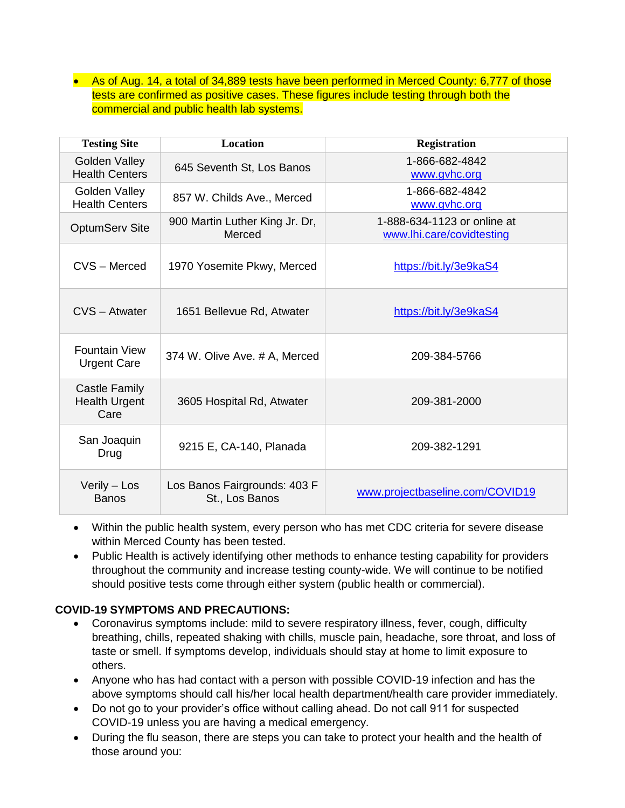• As of Aug. 14, a total of 34,889 tests have been performed in Merced County: 6,777 of those tests are confirmed as positive cases. These figures include testing through both the commercial and public health lab systems.

| <b>Testing Site</b>                                  | <b>Location</b>                                | <b>Registration</b>                                      |
|------------------------------------------------------|------------------------------------------------|----------------------------------------------------------|
| Golden Valley<br><b>Health Centers</b>               | 645 Seventh St, Los Banos                      | 1-866-682-4842<br>www.gvhc.org                           |
| Golden Valley<br><b>Health Centers</b>               | 857 W. Childs Ave., Merced                     | 1-866-682-4842<br>www.gvhc.org                           |
| <b>OptumServ Site</b>                                | 900 Martin Luther King Jr. Dr,<br>Merced       | 1-888-634-1123 or online at<br>www.lhi.care/covidtesting |
| CVS - Merced                                         | 1970 Yosemite Pkwy, Merced                     | https://bit.ly/3e9kaS4                                   |
| CVS - Atwater                                        | 1651 Bellevue Rd, Atwater                      | https://bit.ly/3e9kaS4                                   |
| <b>Fountain View</b><br><b>Urgent Care</b>           | 374 W. Olive Ave. # A, Merced                  | 209-384-5766                                             |
| <b>Castle Family</b><br><b>Health Urgent</b><br>Care | 3605 Hospital Rd, Atwater                      | 209-381-2000                                             |
| San Joaquin<br>Drug                                  | 9215 E, CA-140, Planada                        | 209-382-1291                                             |
| Verily - Los<br><b>Banos</b>                         | Los Banos Fairgrounds: 403 F<br>St., Los Banos | www.projectbaseline.com/COVID19                          |

- Within the public health system, every person who has met CDC criteria for severe disease within Merced County has been tested.
- Public Health is actively identifying other methods to enhance testing capability for providers throughout the community and increase testing county-wide. We will continue to be notified should positive tests come through either system (public health or commercial).

# **COVID-19 SYMPTOMS AND PRECAUTIONS:**

- Coronavirus symptoms include: mild to severe respiratory illness, fever, cough, difficulty breathing, chills, repeated shaking with chills, muscle pain, headache, sore throat, and loss of taste or smell. If symptoms develop, individuals should stay at home to limit exposure to others.
- Anyone who has had contact with a person with possible COVID-19 infection and has the above symptoms should call his/her local health department/health care provider immediately.
- Do not go to your provider's office without calling ahead. Do not call 911 for suspected COVID-19 unless you are having a medical emergency.
- During the flu season, there are steps you can take to protect your health and the health of those around you: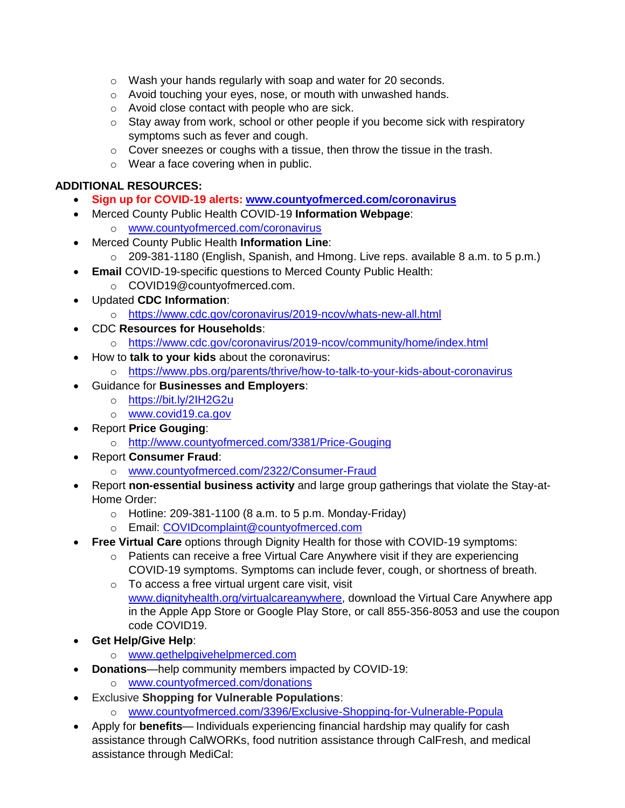- o Wash your hands regularly with soap and water for 20 seconds.
- o Avoid touching your eyes, nose, or mouth with unwashed hands.
- o Avoid close contact with people who are sick.
- $\circ$  Stay away from work, school or other people if you become sick with respiratory symptoms such as fever and cough.
- o Cover sneezes or coughs with a tissue, then throw the tissue in the trash.
- o Wear a face covering when in public.

## **ADDITIONAL RESOURCES:**

- **Sign up for COVID-19 alerts: [www.countyofmerced.com/coronavirus](http://www.countyofmerced.com/coronavirus)**
- Merced County Public Health COVID-19 **Information Webpage**: o [www.countyofmerced.com/coronavirus](http://www.countyofmerced.com/coronavirus)
- Merced County Public Health **Information Line**:
	- o 209-381-1180 (English, Spanish, and Hmong. Live reps. available 8 a.m. to 5 p.m.)
- **Email** COVID-19-specific questions to Merced County Public Health:
	- o COVID19@countyofmerced.com.
- Updated **CDC Information**:
	- o <https://www.cdc.gov/coronavirus/2019-ncov/whats-new-all.html>
- CDC **Resources for Households**:
	- o <https://www.cdc.gov/coronavirus/2019-ncov/community/home/index.html>
- How to **talk to your kids** about the coronavirus:
	- o <https://www.pbs.org/parents/thrive/how-to-talk-to-your-kids-about-coronavirus>
- Guidance for **Businesses and Employers**:
	- o <https://bit.ly/2IH2G2u>
	- o [www.covid19.ca.gov](http://www.covid19.ca.gov/)
- Report **Price Gouging**:
	- o <http://www.countyofmerced.com/3381/Price-Gouging>
- Report **Consumer Fraud**:
	- o [www.countyofmerced.com/2322/Consumer-Fraud](http://www.countyofmerced.com/2322/Consumer-Fraud)
- Report **non-essential business activity** and large group gatherings that violate the Stay-at-Home Order:
	- $\circ$  Hotline: 209-381-1100 (8 a.m. to 5 p.m. Monday-Friday)
	- o Email: [COVIDcomplaint@countyofmerced.com](mailto:COVIDcomplaint@countyofmerced.com)
- **Free Virtual Care** options through Dignity Health for those with COVID-19 symptoms:
	- o Patients can receive a free Virtual Care Anywhere visit if they are experiencing COVID-19 symptoms. Symptoms can include fever, cough, or shortness of breath.
	- o To access a free virtual urgent care visit, visit [www.dignityhealth.org/virtualcareanywhere,](http://www.dignityhealth.org/virtualcareanywhere) download the Virtual Care Anywhere app in the Apple App Store or Google Play Store, or call 855-356-8053 and use the coupon code COVID19.
- **Get Help/Give Help**:
	- o [www.gethelpgivehelpmerced.com](http://www.gethelpgivehelpmerced.com/)
- **Donations**—help community members impacted by COVID-19:
	- o [www.countyofmerced.com/donations](http://www.countyofmerced.com/donations)
- **Exclusive Shopping for Vulnerable Populations:** 
	- o [www.countyofmerced.com/3396/Exclusive-Shopping-for-Vulnerable-Popula](http://www.countyofmerced.com/3396/Exclusive-Shopping-for-Vulnerable-Popula)
- Apply for **benefits** Individuals experiencing financial hardship may qualify for cash assistance through CalWORKs, food nutrition assistance through CalFresh, and medical assistance through MediCal: